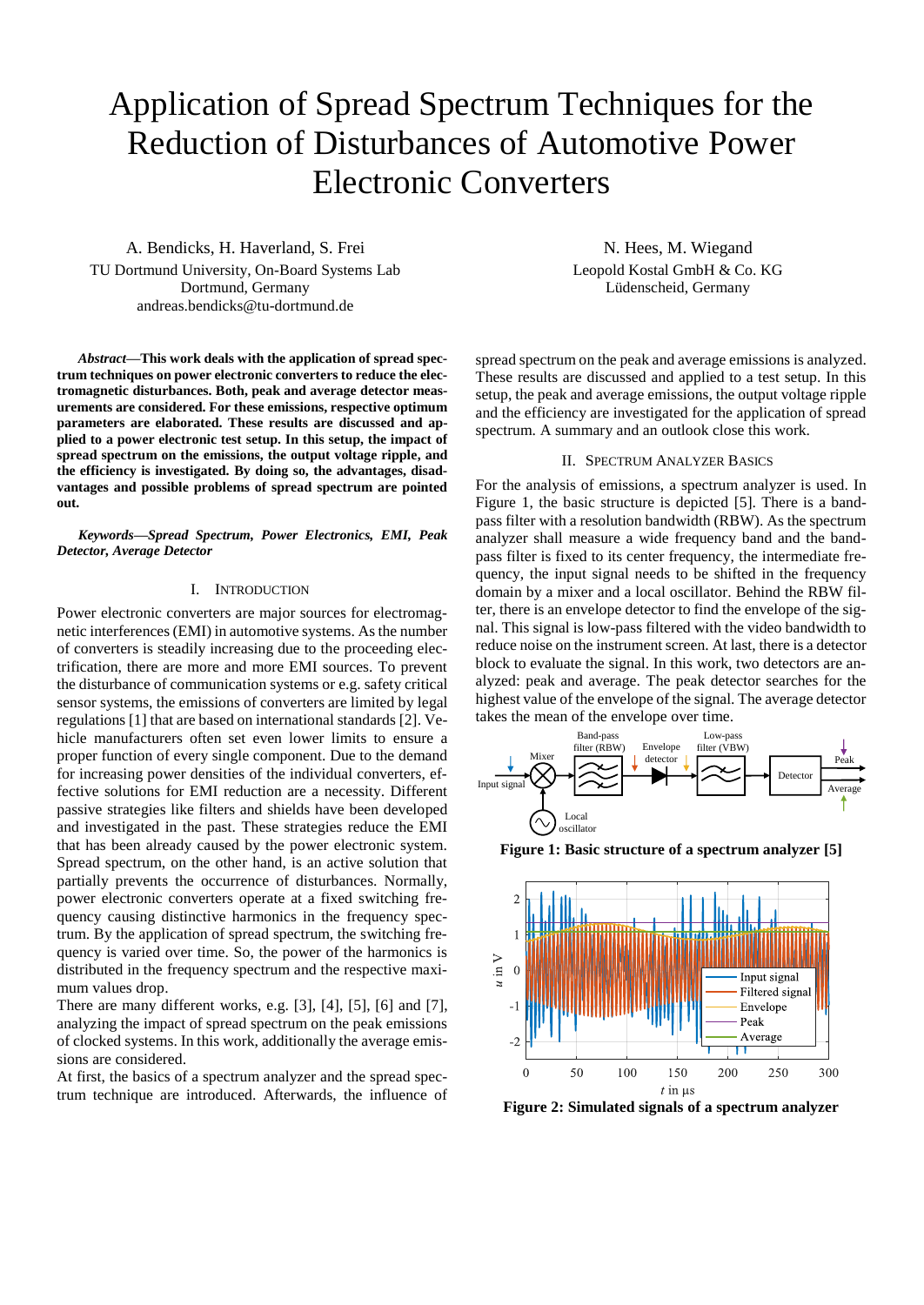# Application of Spread Spectrum Techniques for the Reduction of Disturbances of Automotive Power Electronic Converters

A. Bendicks, H. Haverland, S. Frei TU Dortmund University, On-Board Systems Lab Dortmund, Germany andreas.bendicks@tu-dortmund.de

*Abstract***—This work deals with the application of spread spectrum techniques on power electronic converters to reduce the electromagnetic disturbances. Both, peak and average detector measurements are considered. For these emissions, respective optimum parameters are elaborated. These results are discussed and applied to a power electronic test setup. In this setup, the impact of spread spectrum on the emissions, the output voltage ripple, and the efficiency is investigated. By doing so, the advantages, disadvantages and possible problems of spread spectrum are pointed out.** 

*Keywords—Spread Spectrum, Power Electronics, EMI, Peak Detector, Average Detector*

# I. INTRODUCTION

Power electronic converters are major sources for electromagnetic interferences (EMI) in automotive systems. As the number of converters is steadily increasing due to the proceeding electrification, there are more and more EMI sources. To prevent the disturbance of communication systems or e.g. safety critical sensor systems, the emissions of converters are limited by legal regulation[s \[1\]](#page-5-0) that are based on international standard[s \[2\].](#page-5-1) Vehicle manufacturers often set even lower limits to ensure a proper function of every single component. Due to the demand for increasing power densities of the individual converters, effective solutions for EMI reduction are a necessity. Different passive strategies like filters and shields have been developed and investigated in the past. These strategies reduce the EMI that has been already caused by the power electronic system. Spread spectrum, on the other hand, is an active solution that partially prevents the occurrence of disturbances. Normally, power electronic converters operate at a fixed switching frequency causing distinctive harmonics in the frequency spectrum. By the application of spread spectrum, the switching frequency is varied over time. So, the power of the harmonics is distributed in the frequency spectrum and the respective maximum values drop.

There are many different works, e.g. [\[3\],](#page-5-2) [\[4\],](#page-5-3) [\[5\],](#page-5-4) [\[6\]](#page-5-5) and [\[7\],](#page-5-6) analyzing the impact of spread spectrum on the peak emissions of clocked systems. In this work, additionally the average emissions are considered.

At first, the basics of a spectrum analyzer and the spread spectrum technique are introduced. Afterwards, the influence of

N. Hees, M. Wiegand Leopold Kostal GmbH & Co. KG Lüdenscheid, Germany

spread spectrum on the peak and average emissions is analyzed. These results are discussed and applied to a test setup. In this setup, the peak and average emissions, the output voltage ripple and the efficiency are investigated for the application of spread spectrum. A summary and an outlook close this work.

# II. SPECTRUM ANALYZER BASICS

<span id="page-0-2"></span>For the analysis of emissions, a spectrum analyzer is used. In [Figure 1,](#page-0-0) the basic structure is depicted [\[5\].](#page-5-4) There is a bandpass filter with a resolution bandwidth (RBW). As the spectrum analyzer shall measure a wide frequency band and the bandpass filter is fixed to its center frequency, the intermediate frequency, the input signal needs to be shifted in the frequency domain by a mixer and a local oscillator. Behind the RBW filter, there is an envelope detector to find the envelope of the signal. This signal is low-pass filtered with the video bandwidth to reduce noise on the instrument screen. At last, there is a detector block to evaluate the signal. In this work, two detectors are analyzed: peak and average. The peak detector searches for the highest value of the envelope of the signal. The average detector takes the mean of the envelope over time.



<span id="page-0-0"></span>**Figure 1: Basic structure of a spectrum analyzer [\[5\]](#page-5-4)**



<span id="page-0-1"></span>**Figure 2: Simulated signals of a spectrum analyzer**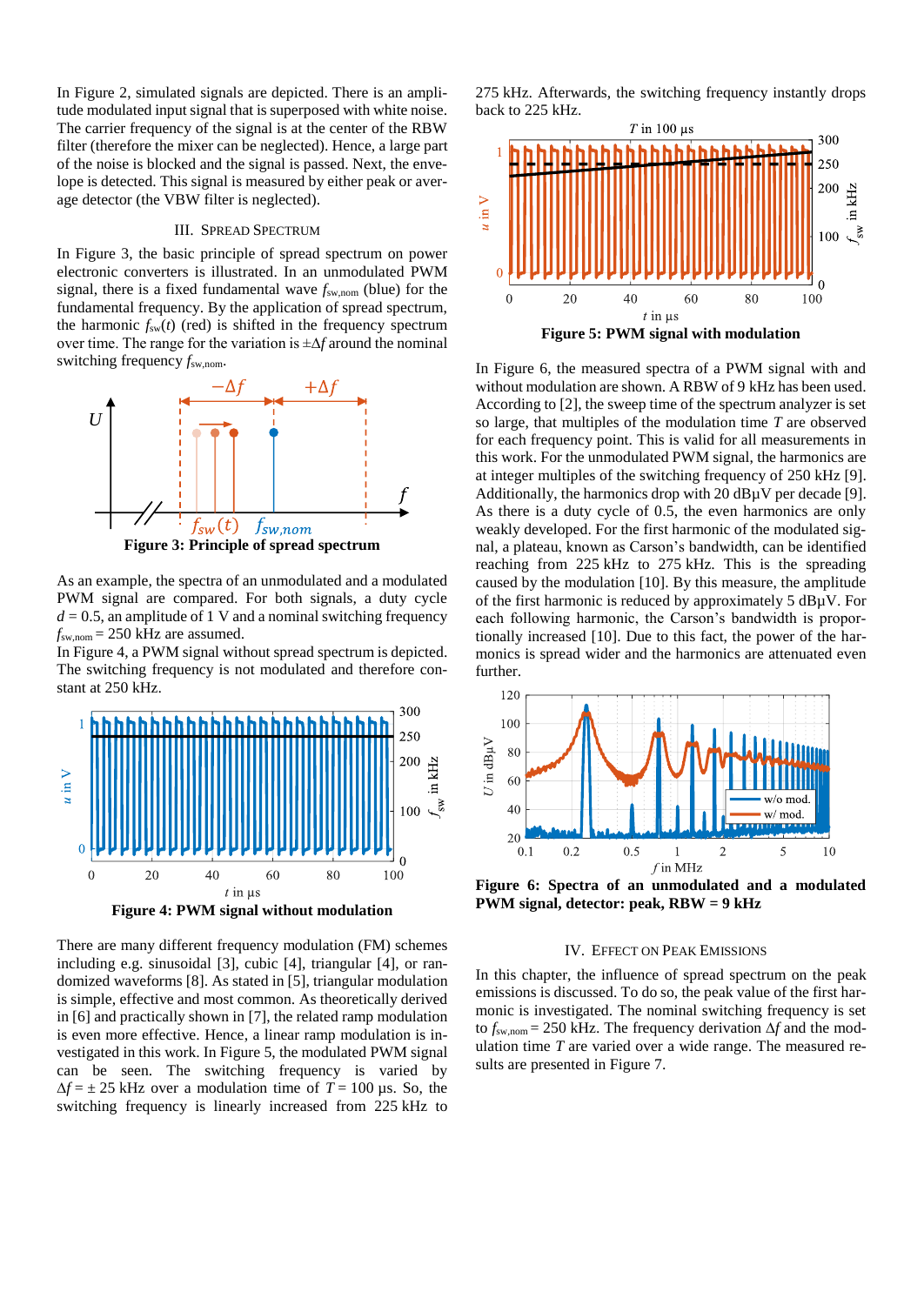In [Figure 2,](#page-0-1) simulated signals are depicted. There is an amplitude modulated input signal that is superposed with white noise. The carrier frequency of the signal is at the center of the RBW filter (therefore the mixer can be neglected). Hence, a large part of the noise is blocked and the signal is passed. Next, the envelope is detected. This signal is measured by either peak or average detector (the VBW filter is neglected).

## III. SPREAD SPECTRUM

<span id="page-1-4"></span>In [Figure 3,](#page-1-0) the basic principle of spread spectrum on power electronic converters is illustrated. In an unmodulated PWM signal, there is a fixed fundamental wave *f*sw,nom (blue) for the fundamental frequency. By the application of spread spectrum, the harmonic  $f_{sw}(t)$  (red) is shifted in the frequency spectrum over time. The range for the variation is ±∆*f* around the nominal switching frequency *f*sw,nom.



<span id="page-1-0"></span>As an example, the spectra of an unmodulated and a modulated PWM signal are compared. For both signals, a duty cycle  $d = 0.5$ , an amplitude of 1 V and a nominal switching frequency  $f_{\text{sw,nom}}$  = 250 kHz are assumed.

I[n Figure 4,](#page-1-1) a PWM signal without spread spectrum is depicted. The switching frequency is not modulated and therefore constant at 250 kHz.



<span id="page-1-1"></span>There are many different frequency modulation (FM) schemes including e.g. sinusoidal [\[3\],](#page-5-2) cubic [\[4\],](#page-5-3) triangular [\[4\],](#page-5-3) or randomized waveforms [\[8\].](#page-5-7) As stated in [\[5\],](#page-5-4) triangular modulation is simple, effective and most common. As theoretically derived i[n \[6\]](#page-5-5) and practically shown in [\[7\],](#page-5-6) the related ramp modulation is even more effective. Hence, a linear ramp modulation is investigated in this work. In [Figure 5,](#page-1-2) the modulated PWM signal can be seen. The switching frequency is varied by  $\Delta f = \pm 25$  kHz over a modulation time of  $T = 100$  µs. So, the switching frequency is linearly increased from 225 kHz to 275 kHz. Afterwards, the switching frequency instantly drops back to 225 kHz.



<span id="page-1-2"></span>In [Figure 6,](#page-1-3) the measured spectra of a PWM signal with and without modulation are shown. A RBW of 9 kHz has been used. According to [\[2\],](#page-5-1) the sweep time of the spectrum analyzer is set so large, that multiples of the modulation time *T* are observed for each frequency point. This is valid for all measurements in this work. For the unmodulated PWM signal, the harmonics are at integer multiples of the switching frequency of 250 kHz [\[9\].](#page-5-8) Additionally, the harmonics drop with 20  $dB\mu V$  per decade [\[9\].](#page-5-8) As there is a duty cycle of 0.5, the even harmonics are only weakly developed. For the first harmonic of the modulated signal, a plateau, known as Carson's bandwidth, can be identified reaching from 225 kHz to 275 kHz. This is the spreading caused by the modulation [\[10\].](#page-5-9) By this measure, the amplitude of the first harmonic is reduced by approximately 5 dBµV. For each following harmonic, the Carson's bandwidth is proportionally increased [\[10\].](#page-5-9) Due to this fact, the power of the harmonics is spread wider and the harmonics are attenuated even further.



<span id="page-1-3"></span>**Figure 6: Spectra of an unmodulated and a modulated PWM signal, detector: peak, RBW = 9 kHz**

#### IV. EFFECT ON PEAK EMISSIONS

<span id="page-1-5"></span>In this chapter, the influence of spread spectrum on the peak emissions is discussed. To do so, the peak value of the first harmonic is investigated. The nominal switching frequency is set to *f*sw,nom = 250 kHz. The frequency derivation ∆*f* and the modulation time *T* are varied over a wide range. The measured results are presented in [Figure 7.](#page-2-0)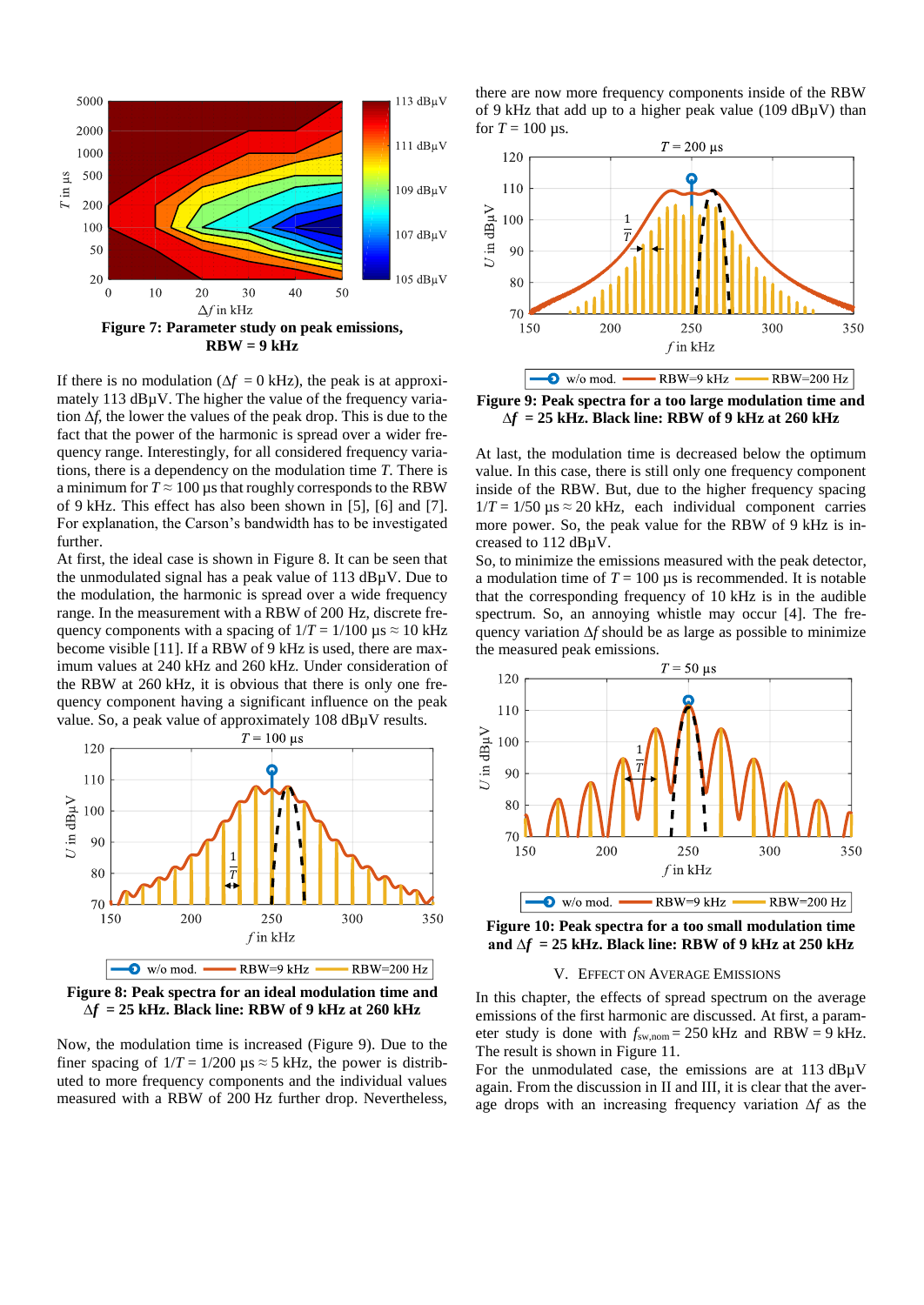

<span id="page-2-0"></span>If there is no modulation ( $\Delta f = 0$  kHz), the peak is at approximately 113 dBµV. The higher the value of the frequency variation ∆*f*, the lower the values of the peak drop. This is due to the fact that the power of the harmonic is spread over a wider frequency range. Interestingly, for all considered frequency variations, there is a dependency on the modulation time *T*. There is a minimum for  $T \approx 100 \,\mu s$  that roughly corresponds to the RBW of 9 kHz. This effect has also been shown in [\[5\],](#page-5-4) [\[6\]](#page-5-5) and [\[7\].](#page-5-6) For explanation, the Carson's bandwidth has to be investigated further.

At first, the ideal case is shown in [Figure 8.](#page-2-1) It can be seen that the unmodulated signal has a peak value of 113 dBµV. Due to the modulation, the harmonic is spread over a wide frequency range. In the measurement with a RBW of 200 Hz, discrete frequency components with a spacing of  $1/T = 1/100 \text{ }\mu\text{s} \approx 10 \text{ kHz}$ become visible [\[11\].](#page-5-10) If a RBW of 9 kHz is used, there are maximum values at 240 kHz and 260 kHz. Under consideration of the RBW at 260 kHz, it is obvious that there is only one frequency component having a significant influence on the peak value. So, a peak value of approximately 108 dBµV results.



<span id="page-2-1"></span>**Figure 8: Peak spectra for an ideal modulation time and ∆***f* **= 25 kHz. Black line: RBW of 9 kHz at 260 kHz**

Now, the modulation time is increased [\(Figure 9\)](#page-2-2). Due to the finer spacing of  $1/T = 1/200 \mu s \approx 5$  kHz, the power is distributed to more frequency components and the individual values measured with a RBW of 200 Hz further drop. Nevertheless,

there are now more frequency components inside of the RBW of 9 kHz that add up to a higher peak value (109  $dB\mu$ V) than for  $T = 100$  us.



<span id="page-2-2"></span>**Figure 9: Peak spectra for a too large modulation time and ∆***f* **= 25 kHz. Black line: RBW of 9 kHz at 260 kHz**

At last, the modulation time is decreased below the optimum value. In this case, there is still only one frequency component inside of the RBW. But, due to the higher frequency spacing  $1/T = 1/50 \mu s \approx 20 \text{ kHz}$ , each individual component carries more power. So, the peak value for the RBW of 9 kHz is increased to 112 dBµV.

So, to minimize the emissions measured with the peak detector, a modulation time of  $T = 100 \text{ }\mu\text{s}$  is recommended. It is notable that the corresponding frequency of 10 kHz is in the audible spectrum. So, an annoying whistle may occur [\[4\].](#page-5-3) The frequency variation ∆*f* should be as large as possible to minimize the measured peak emissions.



<span id="page-2-3"></span>**Figure 10: Peak spectra for a too small modulation time and ∆***f* **= 25 kHz. Black line: RBW of 9 kHz at 250 kHz**

# V. EFFECT ON AVERAGE EMISSIONS

In this chapter, the effects of spread spectrum on the average emissions of the first harmonic are discussed. At first, a parameter study is done with  $f_{\text{sw,nom}} = 250 \text{ kHz}$  and RBW = 9 kHz. The result is shown in [Figure 11.](#page-3-0)

For the unmodulated case, the emissions are at 113 dBµV again. From the discussion in [II](#page-0-2) and [III,](#page-1-4) it is clear that the average drops with an increasing frequency variation ∆*f* as the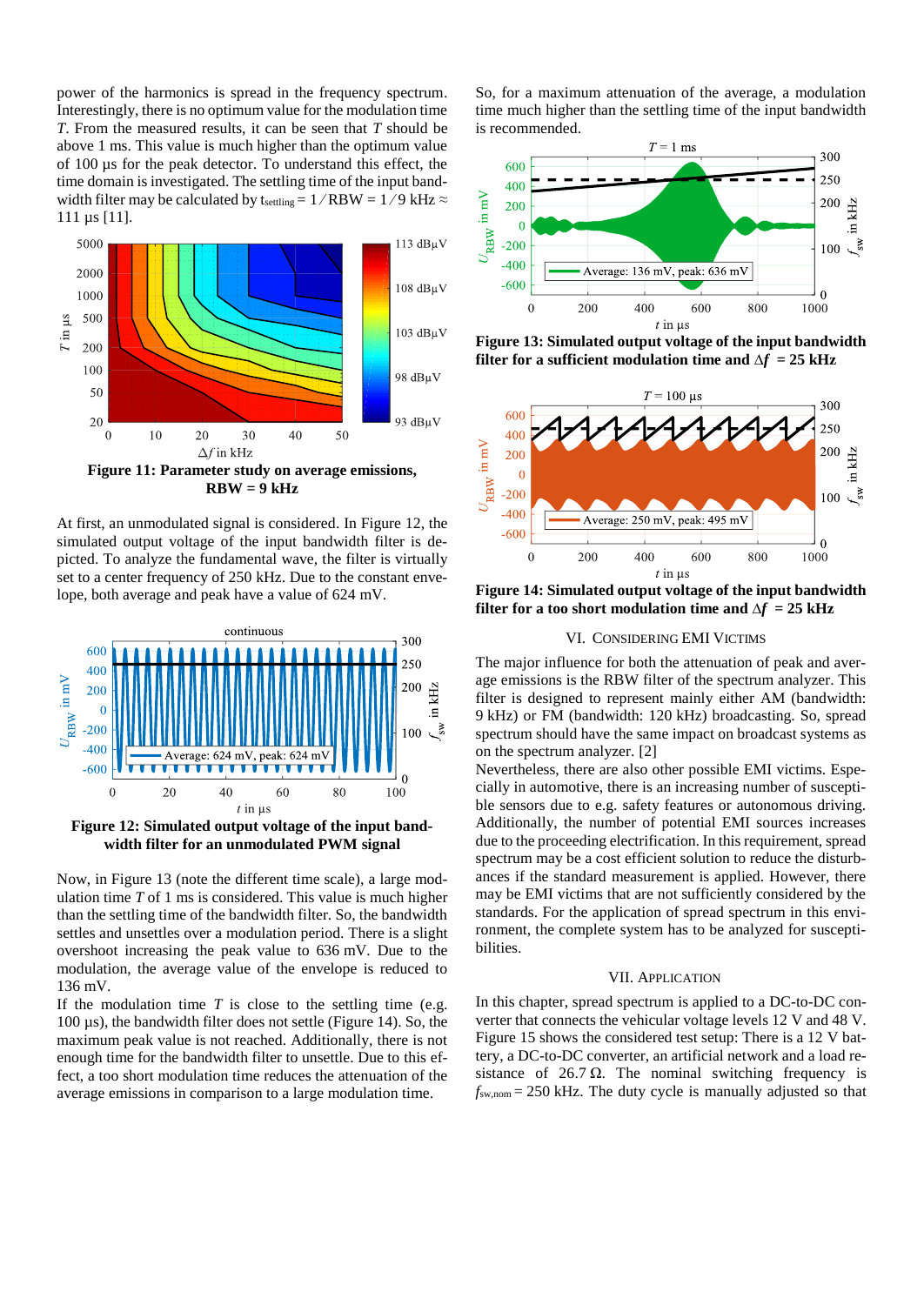power of the harmonics is spread in the frequency spectrum. Interestingly, there is no optimum value for the modulation time *T*. From the measured results, it can be seen that *T* should be above 1 ms. This value is much higher than the optimum value of 100 µs for the peak detector. To understand this effect, the time domain is investigated. The settling time of the input bandwidth filter may be calculated by  $t_{\text{setting}} = 1 / RBW = 1/9$  kHz  $\approx$ 111 µs [\[11\].](#page-5-10)



<span id="page-3-0"></span> $RBW = 9$   $kHz$ 

At first, an unmodulated signal is considered. I[n Figure 12,](#page-3-1) the simulated output voltage of the input bandwidth filter is depicted. To analyze the fundamental wave, the filter is virtually set to a center frequency of 250 kHz. Due to the constant envelope, both average and peak have a value of 624 mV.



<span id="page-3-1"></span>**Figure 12: Simulated output voltage of the input bandwidth filter for an unmodulated PWM signal**

Now, in [Figure 13](#page-3-2) (note the different time scale), a large modulation time *T* of 1 ms is considered. This value is much higher than the settling time of the bandwidth filter. So, the bandwidth settles and unsettles over a modulation period. There is a slight overshoot increasing the peak value to 636 mV. Due to the modulation, the average value of the envelope is reduced to 136 mV.

If the modulation time  $T$  is close to the settling time (e.g. 100 µs), the bandwidth filter does not settle [\(Figure 14\)](#page-3-3). So, the maximum peak value is not reached. Additionally, there is not enough time for the bandwidth filter to unsettle. Due to this effect, a too short modulation time reduces the attenuation of the average emissions in comparison to a large modulation time.

So, for a maximum attenuation of the average, a modulation time much higher than the settling time of the input bandwidth is recommended.



<span id="page-3-2"></span>**Figure 13: Simulated output voltage of the input bandwidth filter for a sufficient modulation time and**  $\Delta f = 25$  **<b>kHz** 



<span id="page-3-3"></span>**Figure 14: Simulated output voltage of the input bandwidth filter** for a too short modulation time and  $\Delta f = 25$  kHz

# VI. CONSIDERING EMI VICTIMS

The major influence for both the attenuation of peak and average emissions is the RBW filter of the spectrum analyzer. This filter is designed to represent mainly either AM (bandwidth: 9 kHz) or FM (bandwidth: 120 kHz) broadcasting. So, spread spectrum should have the same impact on broadcast systems as on the spectrum analyzer. [\[2\]](#page-5-1)

Nevertheless, there are also other possible EMI victims. Especially in automotive, there is an increasing number of susceptible sensors due to e.g. safety features or autonomous driving. Additionally, the number of potential EMI sources increases due to the proceeding electrification. In this requirement, spread spectrum may be a cost efficient solution to reduce the disturbances if the standard measurement is applied. However, there may be EMI victims that are not sufficiently considered by the standards. For the application of spread spectrum in this environment, the complete system has to be analyzed for susceptibilities.

# VII. APPLICATION

In this chapter, spread spectrum is applied to a DC-to-DC converter that connects the vehicular voltage levels 12 V and 48 V. [Figure 15](#page-4-0) shows the considered test setup: There is a 12 V battery, a DC-to-DC converter, an artificial network and a load resistance of  $26.7 \Omega$ . The nominal switching frequency is  $f_{\text{sw,nom}} = 250$  kHz. The duty cycle is manually adjusted so that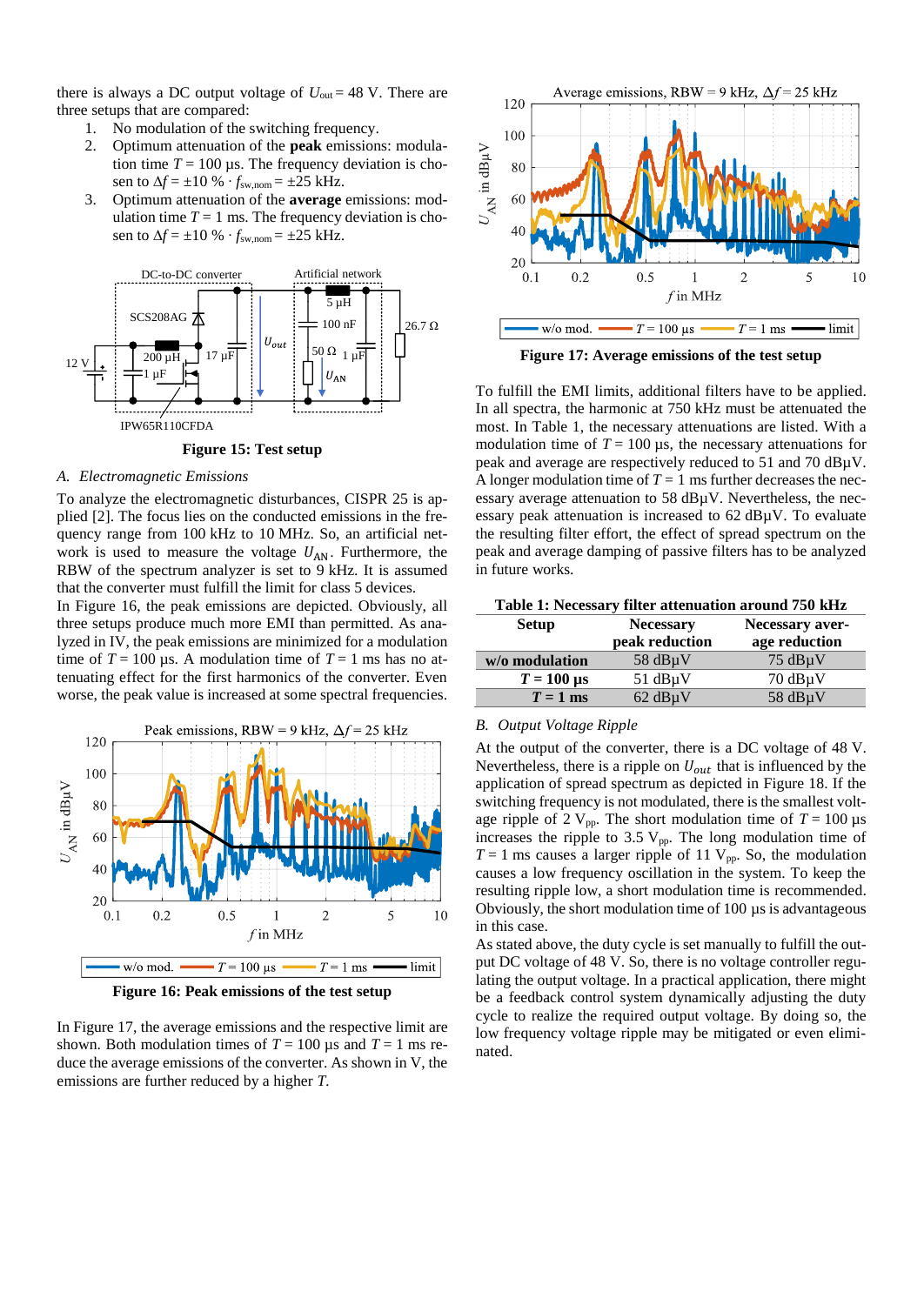there is always a DC output voltage of  $U_{\text{out}} = 48$  V. There are three setups that are compared:

- 1. No modulation of the switching frequency.
- 2. Optimum attenuation of the **peak** emissions: modulation time  $T = 100 \,\mu s$ . The frequency deviation is chosen to  $\Delta f = \pm 10 \%$   $\cdot f_{\text{sw,nom}} = \pm 25$  kHz.
- 3. Optimum attenuation of the **average** emissions: modulation time  $T = 1$  ms. The frequency deviation is chosen to  $\Delta f = \pm 10 \%$   $\cdot f_{\text{sw,nom}} = \pm 25$  kHz.



## **Figure 15: Test setup**

#### <span id="page-4-0"></span>*A. Electromagnetic Emissions*

To analyze the electromagnetic disturbances, CISPR 25 is applied [\[2\].](#page-5-1) The focus lies on the conducted emissions in the frequency range from 100 kHz to 10 MHz. So, an artificial network is used to measure the voltage  $U_{AN}$ . Furthermore, the RBW of the spectrum analyzer is set to 9 kHz. It is assumed that the converter must fulfill the limit for class 5 devices.

In [Figure 16,](#page-4-1) the peak emissions are depicted. Obviously, all three setups produce much more EMI than permitted. As analyzed i[n IV,](#page-1-5) the peak emissions are minimized for a modulation time of  $T = 100 \,\mu s$ . A modulation time of  $T = 1$  ms has no attenuating effect for the first harmonics of the converter. Even worse, the peak value is increased at some spectral frequencies.



**Figure 16: Peak emissions of the test setup**

# <span id="page-4-1"></span>I[n Figure 17,](#page-4-2) the average emissions and the respective limit are shown. Both modulation times of  $T = 100 \,\mu s$  and  $T = 1 \,\text{ms}$  reduce the average emissions of the converter. As shown i[n V,](#page-2-3) the emissions are further reduced by a higher *T.*



**Figure 17: Average emissions of the test setup**

<span id="page-4-2"></span>To fulfill the EMI limits, additional filters have to be applied. In all spectra, the harmonic at 750 kHz must be attenuated the most. In [Table 1,](#page-4-3) the necessary attenuations are listed. With a modulation time of  $T = 100 \,\mu s$ , the necessary attenuations for peak and average are respectively reduced to 51 and 70 dBµV. A longer modulation time of  $T = 1$  ms further decreases the necessary average attenuation to 58 dBµV. Nevertheless, the necessary peak attenuation is increased to 62 dBµV. To evaluate the resulting filter effort, the effect of spread spectrum on the peak and average damping of passive filters has to be analyzed in future works.

<span id="page-4-3"></span>

| <b>Setup</b>                  | <b>Necessary</b> | Necessary aver- |  |
|-------------------------------|------------------|-----------------|--|
|                               | peak reduction   | age reduction   |  |
| w/o modulation                | 58 $dB\mu V$     | $75$ dBuV       |  |
| $T = 100 \text{ }\mu\text{s}$ | $51$ dB $\mu$ V  | $70$ dB $\mu$ V |  |
| $T = 1$ ms                    | $62$ dB $\mu$ V  | 58 $dB\mu V$    |  |

# *B. Output Voltage Ripple*

At the output of the converter, there is a DC voltage of 48 V. Nevertheless, there is a ripple on  $U_{out}$  that is influenced by the application of spread spectrum as depicted in [Figure 18.](#page-5-11) If the switching frequency is not modulated, there is the smallest voltage ripple of 2  $V_{pp}$ . The short modulation time of  $T = 100 \,\mu s$ increases the ripple to 3.5  $V_{pp}$ . The long modulation time of  $T = 1$  ms causes a larger ripple of 11 V<sub>pp</sub>. So, the modulation causes a low frequency oscillation in the system. To keep the resulting ripple low, a short modulation time is recommended. Obviously, the short modulation time of 100 µs is advantageous in this case.

As stated above, the duty cycle is set manually to fulfill the output DC voltage of 48 V. So, there is no voltage controller regulating the output voltage. In a practical application, there might be a feedback control system dynamically adjusting the duty cycle to realize the required output voltage. By doing so, the low frequency voltage ripple may be mitigated or even eliminated.